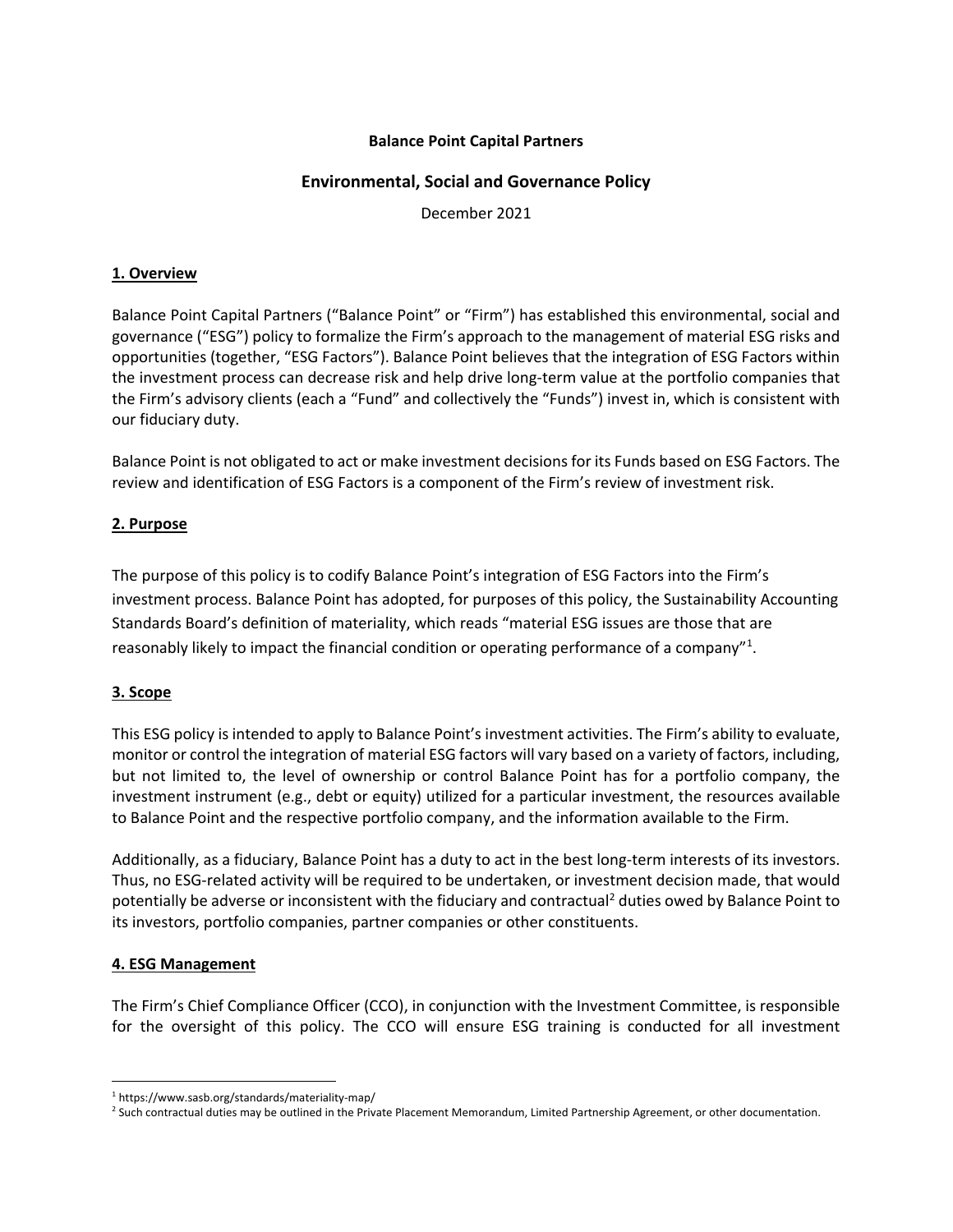## **Balance Point Capital Partners**

## **Environmental, Social and Governance Policy**

December 2021

## **1. Overview**

Balance Point Capital Partners ("Balance Point" or "Firm") has established this environmental, social and governance ("ESG") policy to formalize the Firm's approach to the management of material ESG risks and opportunities (together, "ESG Factors"). Balance Point believes that the integration of ESG Factors within the investment process can decrease risk and help drive long-term value at the portfolio companies that the Firm's advisory clients (each a "Fund" and collectively the "Funds") invest in, which is consistent with our fiduciary duty.

Balance Point is not obligated to act or make investment decisions for its Funds based on ESG Factors. The review and identification of ESG Factors is a component of the Firm's review of investment risk.

## **2. Purpose**

The purpose of this policy is to codify Balance Point's integration of ESG Factors into the Firm's investment process. Balance Point has adopted, for purposes of this policy, the Sustainability Accounting Standards Board's definition of materiality, which reads "material ESG issues are those that are reasonably likely to impact the financial condition or operating performance of a company"<sup>1</sup>.

## **3. Scope**

This ESG policy is intended to apply to Balance Point's investment activities. The Firm's ability to evaluate, monitor or control the integration of material ESG factors will vary based on a variety of factors, including, but not limited to, the level of ownership or control Balance Point has for a portfolio company, the investment instrument (e.g., debt or equity) utilized for a particular investment, the resources available to Balance Point and the respective portfolio company, and the information available to the Firm.

Additionally, as a fiduciary, Balance Point has a duty to act in the best long-term interests of its investors. Thus, no ESG-related activity will be required to be undertaken, or investment decision made, that would potentially be adverse or inconsistent with the fiduciary and contractual<sup>2</sup> duties owed by Balance Point to its investors, portfolio companies, partner companies or other constituents.

## **4. ESG Management**

The Firm's Chief Compliance Officer (CCO), in conjunction with the Investment Committee, is responsible for the oversight of this policy. The CCO will ensure ESG training is conducted for all investment

<sup>&</sup>lt;sup>1</sup> https://www.sasb.org/standards/materiality-map/<br><sup>2</sup> Such contractual duties may be outlined in the Priv:

<sup>&</sup>lt;sup>2</sup> Such contractual duties may be outlined in the Private Placement Memorandum, Limited Partnership Agreement, or other documentation.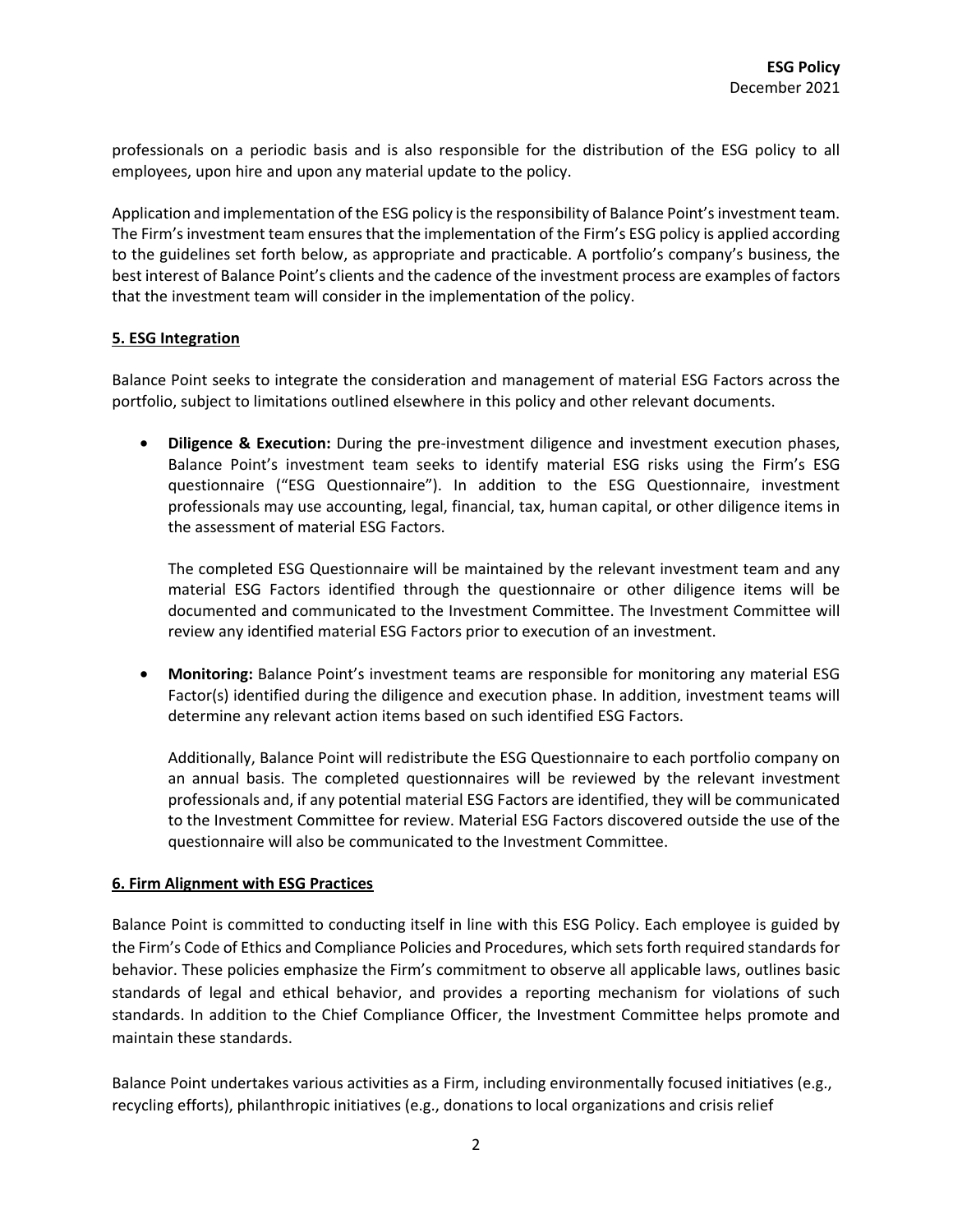professionals on a periodic basis and is also responsible for the distribution of the ESG policy to all employees, upon hire and upon any material update to the policy.

Application and implementation of the ESG policy is the responsibility of Balance Point's investment team. The Firm's investment team ensures that the implementation of the Firm's ESG policy is applied according to the guidelines set forth below, as appropriate and practicable. A portfolio's company's business, the best interest of Balance Point's clients and the cadence of the investment process are examples of factors that the investment team will consider in the implementation of the policy.

## **5. ESG Integration**

Balance Point seeks to integrate the consideration and management of material ESG Factors across the portfolio, subject to limitations outlined elsewhere in this policy and other relevant documents.

• **Diligence & Execution:** During the pre-investment diligence and investment execution phases, Balance Point's investment team seeks to identify material ESG risks using the Firm's ESG questionnaire ("ESG Questionnaire"). In addition to the ESG Questionnaire, investment professionals may use accounting, legal, financial, tax, human capital, or other diligence items in the assessment of material ESG Factors.

The completed ESG Questionnaire will be maintained by the relevant investment team and any material ESG Factors identified through the questionnaire or other diligence items will be documented and communicated to the Investment Committee. The Investment Committee will review any identified material ESG Factors prior to execution of an investment.

• **Monitoring:** Balance Point's investment teams are responsible for monitoring any material ESG Factor(s) identified during the diligence and execution phase. In addition, investment teams will determine any relevant action items based on such identified ESG Factors.

Additionally, Balance Point will redistribute the ESG Questionnaire to each portfolio company on an annual basis. The completed questionnaires will be reviewed by the relevant investment professionals and, if any potential material ESG Factors are identified, they will be communicated to the Investment Committee for review. Material ESG Factors discovered outside the use of the questionnaire will also be communicated to the Investment Committee.

#### **6. Firm Alignment with ESG Practices**

Balance Point is committed to conducting itself in line with this ESG Policy. Each employee is guided by the Firm's Code of Ethics and Compliance Policies and Procedures, which sets forth required standards for behavior. These policies emphasize the Firm's commitment to observe all applicable laws, outlines basic standards of legal and ethical behavior, and provides a reporting mechanism for violations of such standards. In addition to the Chief Compliance Officer, the Investment Committee helps promote and maintain these standards.

Balance Point undertakes various activities as a Firm, including environmentally focused initiatives (e.g., recycling efforts), philanthropic initiatives (e.g., donations to local organizations and crisis relief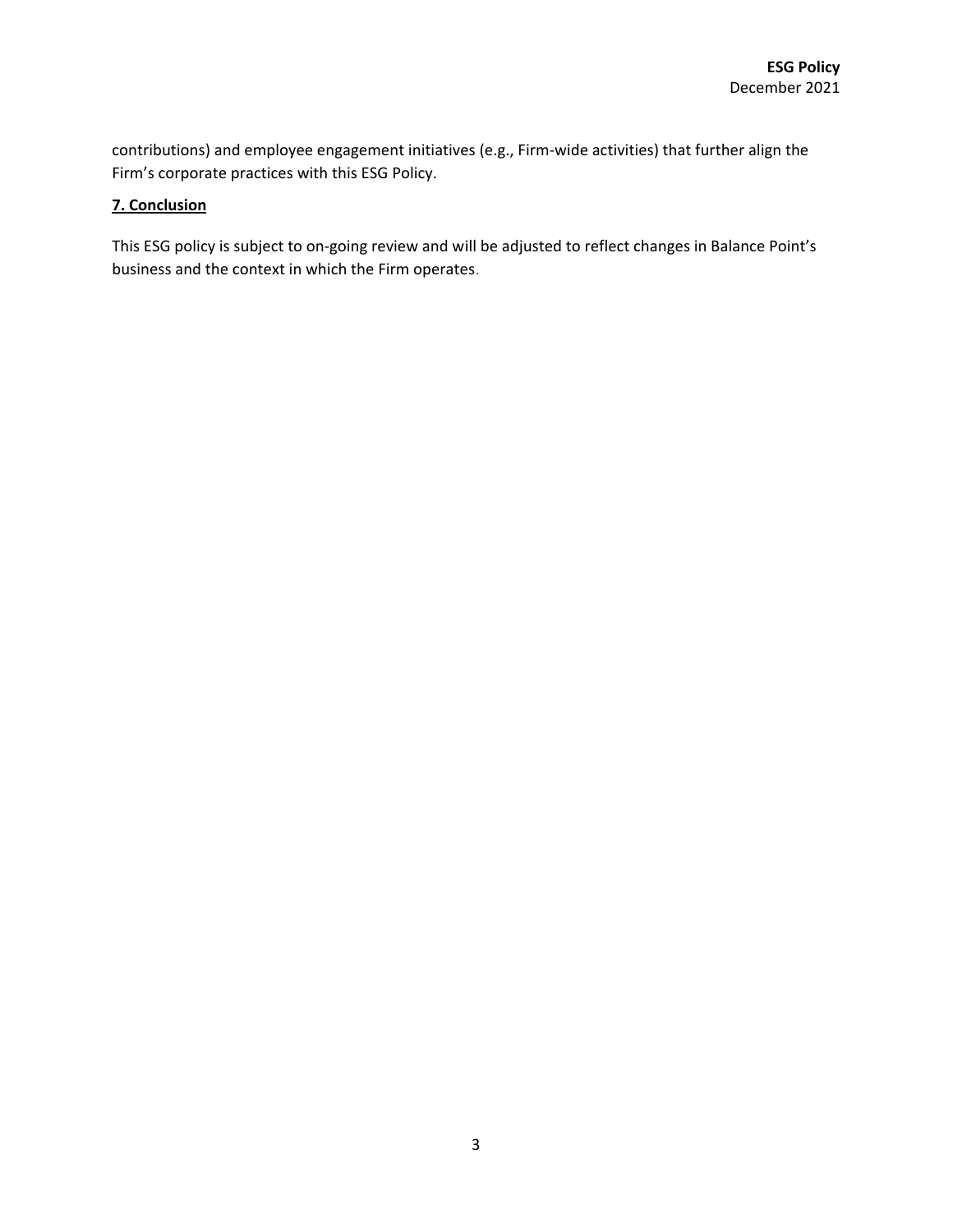contributions) and employee engagement initiatives (e.g., Firm-wide activities) that further align the Firm's corporate practices with this ESG Policy.

# **7. Conclusion**

This ESG policy is subject to on-going review and will be adjusted to reflect changes in Balance Point's business and the context in which the Firm operates.